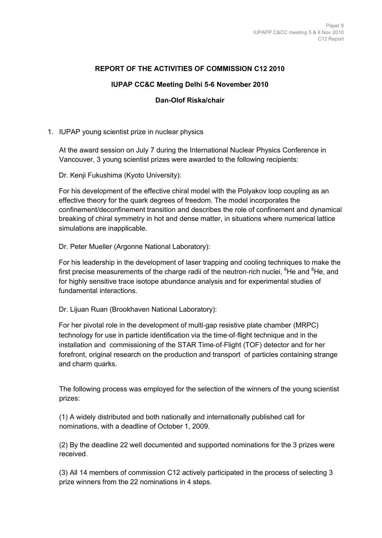## **REPORT OF THE ACTIVITIES OF COMMISSION C12 2010**

# **IUPAP CC&C Meeting Delhi 5-6 November 2010**

### **Dan-Olof Riska/chair**

## 1. IUPAP young scientist prize in nuclear physics

At the award session on July 7 during the International Nuclear Physics Conference in Vancouver, 3 young scientist prizes were awarded to the following recipients:

Dr. Kenji Fukushima (Kyoto University):

For his development of the effective chiral model with the Polyakov loop coupling as an effective theory for the quark degrees of freedom. The model incorporates the confinement/deconfinement transition and describes the role of confinement and dynamical breaking of chiral symmetry in hot and dense matter, in situations where numerical lattice simulations are inapplicable.

### Dr. Peter Mueller (Argonne National Laboratory):

For his leadership in the development of laser trapping and cooling techniques to make the first precise measurements of the charge radii of the neutron-rich nuclei,  ${}^{6}$ He and  ${}^{8}$ He, and for highly sensitive trace isotope abundance analysis and for experimental studies of fundamental interactions.

Dr. Lijuan Ruan (Brookhaven National Laboratory):

For her pivotal role in the development of multi-gap resistive plate chamber (MRPC) technology for use in particle identification via the time‐of‐flight technique and in the installation and commissioning of the STAR Time‐of‐Flight (TOF) detector and for her forefront, original research on the production and transport of particles containing strange and charm quarks.

The following process was employed for the selection of the winners of the young scientist prizes:

(1) A widely distributed and both nationally and internationally published call for nominations, with a deadline of October 1, 2009.

(2) By the deadline 22 well documented and supported nominations for the 3 prizes were received.

(3) All 14 members of commission C12 actively participated in the process of selecting 3 prize winners from the 22 nominations in 4 steps.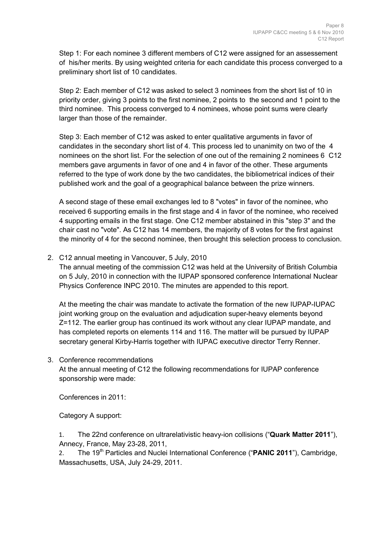Step 1: For each nominee 3 different members of C12 were assigned for an assessement of his/her merits. By using weighted criteria for each candidate this process converged to a preliminary short list of 10 candidates.

Step 2: Each member of C12 was asked to select 3 nominees from the short list of 10 in priority order, giving 3 points to the first nominee, 2 points to the second and 1 point to the third nominee. This process converged to 4 nominees, whose point sums were clearly larger than those of the remainder.

Step 3: Each member of C12 was asked to enter qualitative arguments in favor of candidates in the secondary short list of 4. This process led to unanimity on two of the 4 nominees on the short list. For the selection of one out of the remaining 2 nominees 6 C12 members gave arguments in favor of one and 4 in favor of the other. These arguments referred to the type of work done by the two candidates, the bibliometrical indices of their published work and the goal of a geographical balance between the prize winners.

A second stage of these email exchanges led to 8 "votes" in favor of the nominee, who received 6 supporting emails in the first stage and 4 in favor of the nominee, who received 4 supporting emails in the first stage. One C12 member abstained in this "step 3" and the chair cast no "vote". As C12 has 14 members, the majority of 8 votes for the first against the minority of 4 for the second nominee, then brought this selection process to conclusion.

### 2. C12 annual meeting in Vancouver, 5 July, 2010

The annual meeting of the commission C12 was held at the University of British Columbia on 5 July, 2010 in connection with the IUPAP sponsored conference International Nuclear Physics Conference INPC 2010. The minutes are appended to this report.

At the meeting the chair was mandate to activate the formation of the new IUPAP-IUPAC joint working group on the evaluation and adjudication super-heavy elements beyond Z=112. The earlier group has continued its work without any clear IUPAP mandate, and has completed reports on elements 114 and 116. The matter will be pursued by IUPAP secretary general Kirby-Harris together with IUPAC executive director Terry Renner.

3. Conference recommendations

At the annual meeting of C12 the following recommendations for IUPAP conference sponsorship were made:

Conferences in 2011:

Category A support:

1. The 22nd conference on ultrarelativistic heavy-ion collisions ("**Quark Matter 2011**"), Annecy, France, May 23-28, 2011,

2. The 19<sup>th</sup> Particles and Nuclei International Conference ("**PANIC 2011**"), Cambridge, Massachusetts, USA, July 24-29, 2011.